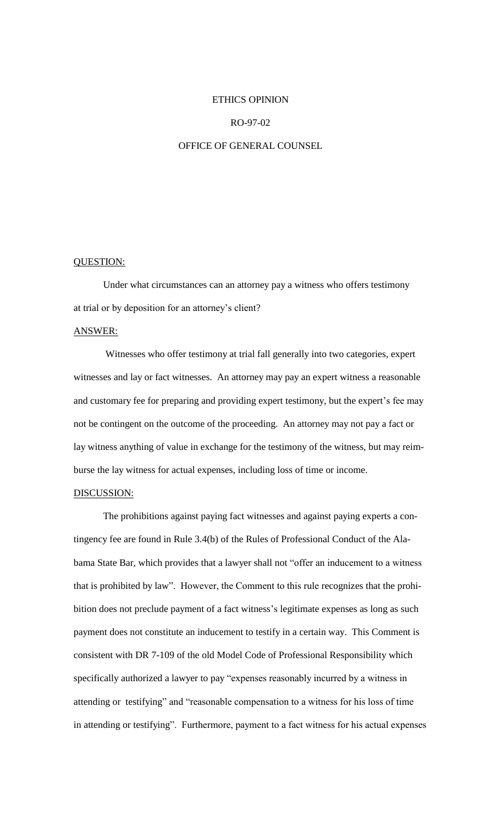## ETHICS OPINION

### RO-97-02

# OFFICE OF GENERAL COUNSEL

# QUESTION:

Under what circumstances can an attorney pay a witness who offers testimony at trial or by deposition for an attorney's client?

#### ANSWER:

Witnesses who offer testimony at trial fall generally into two categories, expert witnesses and lay or fact witnesses. An attorney may pay an expert witness a reasonable and customary fee for preparing and providing expert testimony, but the expert's fee may not be contingent on the outcome of the proceeding. An attorney may not pay a fact or lay witness anything of value in exchange for the testimony of the witness, but may reimburse the lay witness for actual expenses, including loss of time or income.

### DISCUSSION:

The prohibitions against paying fact witnesses and against paying experts a contingency fee are found in Rule 3.4(b) of the Rules of Professional Conduct of the Alabama State Bar, which provides that a lawyer shall not "offer an inducement to a witness that is prohibited by law". However, the Comment to this rule recognizes that the prohibition does not preclude payment of a fact witness's legitimate expenses as long as such payment does not constitute an inducement to testify in a certain way. This Comment is consistent with DR 7-109 of the old Model Code of Professional Responsibility which specifically authorized a lawyer to pay "expenses reasonably incurred by a witness in attending or testifying" and "reasonable compensation to a witness for his loss of time in attending or testifying". Furthermore, payment to a fact witness for his actual expenses